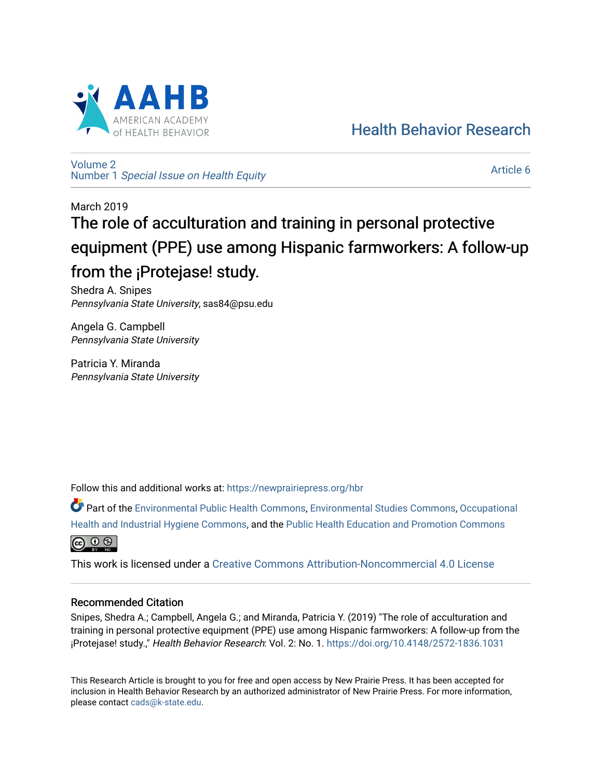

[Health Behavior Research](https://newprairiepress.org/hbr) 

[Volume 2](https://newprairiepress.org/hbr/vol2) Number 1 [Special Issue on Health Equity](https://newprairiepress.org/hbr/vol2/iss1) 

[Article 6](https://newprairiepress.org/hbr/vol2/iss1/6) 

# March 2019 The role of acculturation and training in personal protective equipment (PPE) use among Hispanic farmworkers: A follow-up from the **¡Protejase!** study.

Shedra A. Snipes Pennsylvania State University, sas84@psu.edu

Angela G. Campbell Pennsylvania State University

Patricia Y. Miranda Pennsylvania State University

Follow this and additional works at: [https://newprairiepress.org/hbr](https://newprairiepress.org/hbr?utm_source=newprairiepress.org%2Fhbr%2Fvol2%2Fiss1%2F6&utm_medium=PDF&utm_campaign=PDFCoverPages) 

Part of the [Environmental Public Health Commons](http://network.bepress.com/hgg/discipline/739?utm_source=newprairiepress.org%2Fhbr%2Fvol2%2Fiss1%2F6&utm_medium=PDF&utm_campaign=PDFCoverPages), [Environmental Studies Commons](http://network.bepress.com/hgg/discipline/1333?utm_source=newprairiepress.org%2Fhbr%2Fvol2%2Fiss1%2F6&utm_medium=PDF&utm_campaign=PDFCoverPages), [Occupational](http://network.bepress.com/hgg/discipline/742?utm_source=newprairiepress.org%2Fhbr%2Fvol2%2Fiss1%2F6&utm_medium=PDF&utm_campaign=PDFCoverPages)  [Health and Industrial Hygiene Commons](http://network.bepress.com/hgg/discipline/742?utm_source=newprairiepress.org%2Fhbr%2Fvol2%2Fiss1%2F6&utm_medium=PDF&utm_campaign=PDFCoverPages), and the [Public Health Education and Promotion Commons](http://network.bepress.com/hgg/discipline/743?utm_source=newprairiepress.org%2Fhbr%2Fvol2%2Fiss1%2F6&utm_medium=PDF&utm_campaign=PDFCoverPages) 



This work is licensed under a [Creative Commons Attribution-Noncommercial 4.0 License](https://creativecommons.org/licenses/by-nc/4.0/)

# Recommended Citation

Snipes, Shedra A.; Campbell, Angela G.; and Miranda, Patricia Y. (2019) "The role of acculturation and training in personal protective equipment (PPE) use among Hispanic farmworkers: A follow-up from the ¡Protejase! study.," Health Behavior Research: Vol. 2: No. 1.<https://doi.org/10.4148/2572-1836.1031>

This Research Article is brought to you for free and open access by New Prairie Press. It has been accepted for inclusion in Health Behavior Research by an authorized administrator of New Prairie Press. For more information, please contact [cads@k-state.edu.](mailto:cads@k-state.edu)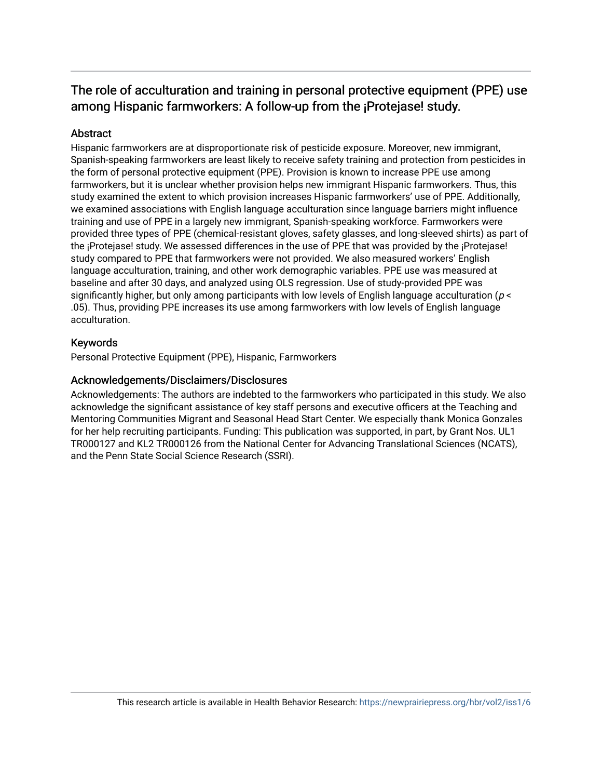# The role of acculturation and training in personal protective equipment (PPE) use among Hispanic farmworkers: A follow-up from the ¡Protejase! study.

# **Abstract**

Hispanic farmworkers are at disproportionate risk of pesticide exposure. Moreover, new immigrant, Spanish-speaking farmworkers are least likely to receive safety training and protection from pesticides in the form of personal protective equipment (PPE). Provision is known to increase PPE use among farmworkers, but it is unclear whether provision helps new immigrant Hispanic farmworkers. Thus, this study examined the extent to which provision increases Hispanic farmworkers' use of PPE. Additionally, we examined associations with English language acculturation since language barriers might influence training and use of PPE in a largely new immigrant, Spanish-speaking workforce. Farmworkers were provided three types of PPE (chemical-resistant gloves, safety glasses, and long-sleeved shirts) as part of the ¡Protejase! study. We assessed differences in the use of PPE that was provided by the ¡Protejase! study compared to PPE that farmworkers were not provided. We also measured workers' English language acculturation, training, and other work demographic variables. PPE use was measured at baseline and after 30 days, and analyzed using OLS regression. Use of study-provided PPE was significantly higher, but only among participants with low levels of English language acculturation ( $p \lt \frac{p}{p}$ .05). Thus, providing PPE increases its use among farmworkers with low levels of English language acculturation.

# Keywords

Personal Protective Equipment (PPE), Hispanic, Farmworkers

# Acknowledgements/Disclaimers/Disclosures

Acknowledgements: The authors are indebted to the farmworkers who participated in this study. We also acknowledge the significant assistance of key staff persons and executive officers at the Teaching and Mentoring Communities Migrant and Seasonal Head Start Center. We especially thank Monica Gonzales for her help recruiting participants. Funding: This publication was supported, in part, by Grant Nos. UL1 TR000127 and KL2 TR000126 from the National Center for Advancing Translational Sciences (NCATS), and the Penn State Social Science Research (SSRI).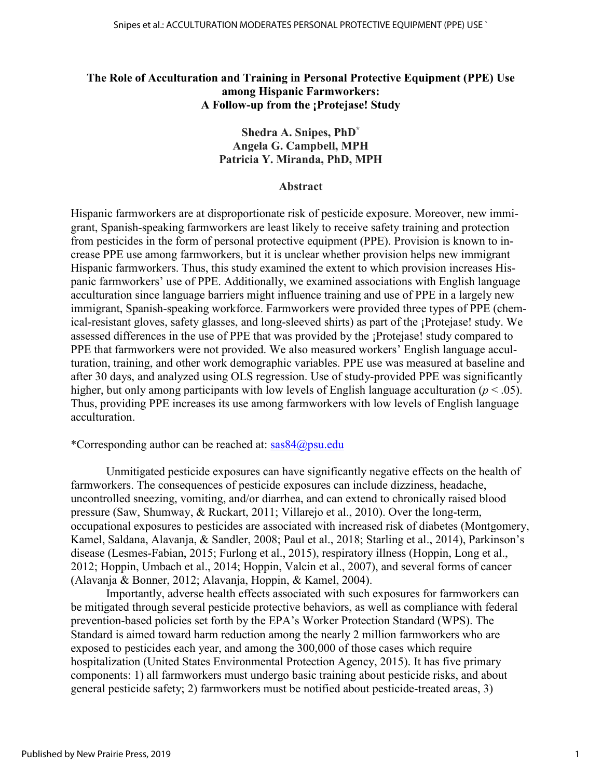# **The Role of Acculturation and Training in Personal Protective Equipment (PPE) Use among Hispanic Farmworkers: A Follow-up from the ¡Protejase! Study**

# **Shedra A. Snipes, PhD\* Angela G. Campbell, MPH Patricia Y. Miranda, PhD, MPH**

#### **Abstract**

Hispanic farmworkers are at disproportionate risk of pesticide exposure. Moreover, new immigrant, Spanish-speaking farmworkers are least likely to receive safety training and protection from pesticides in the form of personal protective equipment (PPE). Provision is known to increase PPE use among farmworkers, but it is unclear whether provision helps new immigrant Hispanic farmworkers. Thus, this study examined the extent to which provision increases Hispanic farmworkers' use of PPE. Additionally, we examined associations with English language acculturation since language barriers might influence training and use of PPE in a largely new immigrant, Spanish-speaking workforce. Farmworkers were provided three types of PPE (chemical-resistant gloves, safety glasses, and long-sleeved shirts) as part of the ¡Protejase! study. We assessed differences in the use of PPE that was provided by the ¡Protejase! study compared to PPE that farmworkers were not provided. We also measured workers' English language acculturation, training, and other work demographic variables. PPE use was measured at baseline and after 30 days, and analyzed using OLS regression. Use of study-provided PPE was significantly higher, but only among participants with low levels of English language acculturation ( $p < .05$ ). Thus, providing PPE increases its use among farmworkers with low levels of English language acculturation.

# \*Corresponding author can be reached at: [sas84@psu.edu](mailto:sas84@psu.edu)

Unmitigated pesticide exposures can have significantly negative effects on the health of farmworkers. The consequences of pesticide exposures can include dizziness, headache, uncontrolled sneezing, vomiting, and/or diarrhea, and can extend to chronically raised blood pressure [\(Saw, Shumway, & Ruckart, 2011;](#page-13-0) [Villarejo et al., 2010\)](#page-14-0). Over the long-term, occupational exposures to pesticides are associated with increased risk of diabetes [\(Montgomery,](#page-13-1)  [Kamel, Saldana, Alavanja, & Sandler, 2008;](#page-13-1) [Paul et al., 2018;](#page-13-2) [Starling et al., 2014\)](#page-14-1), Parkinson's disease (Lesmes[-Fabian, 2015;](#page-12-0) Furlong et al., 2015), respiratory illness [\(Hoppin, Long et al.,](#page-12-1)  [2012;](#page-12-1) [Hoppin, Umbach et al., 2014;](#page-12-2) [Hoppin, Valcin et al., 2007\)](#page-12-3), and several forms of cancer (Alavanja & Bonner, 2012; Alavanja, Hoppin, & Kamel, 2004).

Importantly, adverse health effects associated with such exposures for farmworkers can be mitigated through several pesticide protective behaviors, as well as compliance with federal prevention-based policies set forth by the EPA's Worker Protection Standard (WPS). The Standard is aimed toward harm reduction among the nearly 2 million farmworkers who are exposed to pesticides each year, and among the 300,000 of those cases which require hospitalization [\(United States Environmental Protection Agency, 2015\)](#page-14-2). It has five primary components: 1) all farmworkers must undergo basic training about pesticide risks, and about general pesticide safety; 2) farmworkers must be notified about pesticide-treated areas, 3)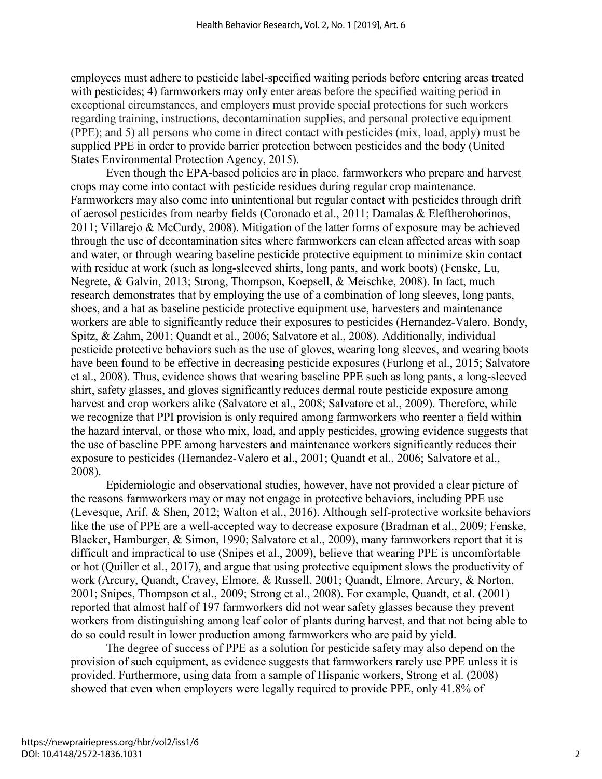employees must adhere to pesticide label-specified waiting periods before entering areas treated with pesticides; 4) farmworkers may only enter areas before the specified waiting period in exceptional circumstances, and employers must provide special protections for such workers regarding training, instructions, decontamination supplies, and personal protective equipment (PPE); and 5) all persons who come in direct contact with pesticides (mix, load, apply) must be supplied PPE in order to provide barrier protection between pesticides and the body [\(United](#page-14-2)  [States Environmental Protection Agency, 2015\)](#page-14-2).

Even though the EPA-based policies are in place, farmworkers who prepare and harvest crops may come into contact with pesticide residues during regular crop maintenance. Farmworkers may also come into unintentional but regular contact with pesticides through drift of aerosol pesticides from nearby fields [\(Coronado et al., 2011;](#page-11-0) [Damalas & Eleftherohorinos,](#page-11-1)  [2011;](#page-11-1) [Villarejo & McCurdy, 2008\)](#page-14-3). Mitigation of the latter forms of exposure may be achieved through the use of decontamination sites where farmworkers can clean affected areas with soap and water, or through wearing baseline pesticide protective equipment to minimize skin contact with residue at work (such as long-sleeved shirts, long pants, and work boots) [\(Fenske, Lu,](#page-11-2)  [Negrete, & Galvin, 2013;](#page-11-2) [Strong, Thompson, Koepsell, & Meischke, 2008\)](#page-14-4). In fact, much research demonstrates that by employing the use of a combination of long sleeves, long pants, shoes, and a hat as baseline pesticide protective equipment use, harvesters and maintenance workers are able to significantly reduce their exposures to pesticides [\(Hernandez-Valero, Bondy,](#page-12-4)  [Spitz, & Zahm, 2001;](#page-12-4) [Quandt et al., 2006;](#page-13-3) [Salvatore et al., 2008\)](#page-13-4). Additionally, individual pesticide protective behaviors such as the use of gloves, wearing long sleeves, and wearing boots have been found to be effective in decreasing pesticide exposures [\(Furlong et al., 2015;](#page-12-5) [Salvatore](#page-13-4) [et al., 2008\)](#page-13-4). Thus, evidence shows that wearing baseline PPE such as long pants, a long-sleeved shirt, safety glasses, and gloves significantly reduces dermal route pesticide exposure among harvest and crop workers alike (Salvatore [et al., 2008;](#page-13-4) [Salvatore et al., 2009\)](#page-13-5). Therefore, while we recognize that PPI provision is only required among farmworkers who reenter a field within the hazard interval, or those who mix, load, and apply pesticides, growing evidence suggests that the use of baseline PPE among harvesters and maintenance workers significantly reduces their exposure to pesticides (Hernandez-Valero et al., 2001; Quandt et al., 2006; Salvatore et al., 2008).

Epidemiologic and observational studies, however, have not provided a clear picture of the reasons farmworkers may or may not engage in protective behaviors, including PPE use [\(Levesque, Arif, & Shen, 2012;](#page-12-0) [Walton et al., 2016\)](#page-14-5). Although self-protective worksite behaviors like the use of PPE are a well-accepted way to decrease exposure [\(Bradman et al., 2009;](#page-11-3) [Fenske,](#page-11-4)  [Blacker, Hamburger, & Simon, 1990;](#page-11-4) [Salvatore et al., 2009\)](#page-13-5), many farmworkers report that it is difficult and impractical to use [\(Snipes et al., 2009\)](#page-13-6), believe that wearing PPE is uncomfortable or hot [\(Quiller et al., 2017\)](#page-13-7), and argue that using protective equipment slows the productivity of work [\(Arcury, Quandt, Cravey, Elmore, & Russell, 2001;](#page-11-5) [Quandt, Elmore, Arcury, & Norton,](#page-13-8)  [2001;](#page-13-8) [Snipes, Thompson et al., 2009;](#page-13-6) [Strong et al., 2008\)](#page-14-4). For example, Quandt, et al. (2001) reported that almost half of 197 farmworkers did not wear safety glasses because they prevent workers from distinguishing among leaf color of plants during harvest, and that not being able to do so could result in lower production among farmworkers who are paid by yield.

The degree of success of PPE as a solution for pesticide safety may also depend on the provision of such equipment, as evidence suggests that farmworkers rarely use PPE unless it is provided. Furthermore, using data from a sample of Hispanic workers, Strong et al. (2008) showed that even when employers were legally required to provide PPE, only 41.8% of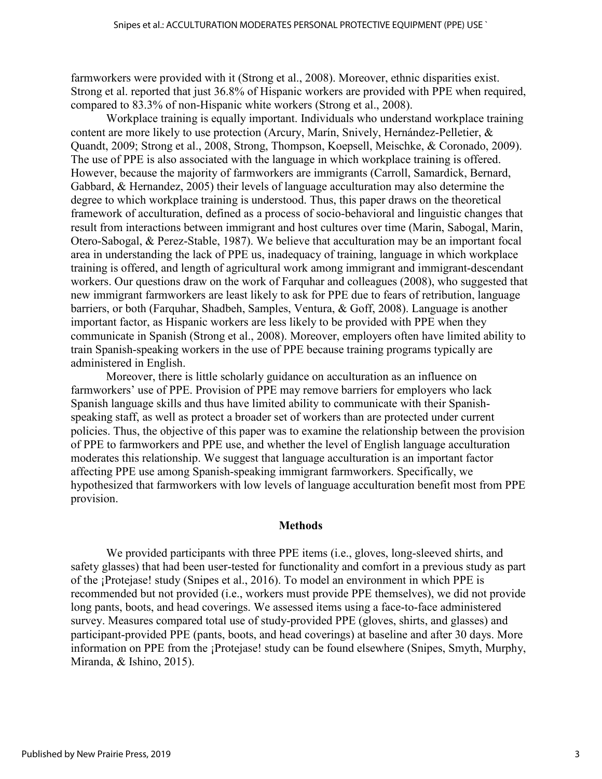farmworkers were provided with it (Strong et al., 2008). Moreover, ethnic disparities exist. Strong et al. reported that just 36.8% of Hispanic workers are provided with PPE when required, compared to 83.3% of non-Hispanic white workers (Strong et al., 2008).

Workplace training is equally important. Individuals who understand workplace training content are more likely to use protection [\(Arcury, Marín, Snively, Hernández-Pelletier, &](#page-11-6)  [Quandt, 2009;](#page-11-6) Strong et al., 2008, Strong, Thompson, Koepsell, Meischke, & Coronado, 2009). The use of PPE is also associated with the language in which workplace training is offered. However, because the majority of farmworkers are immigrants [\(Carroll, Samardick, Bernard,](#page-11-7)  [Gabbard, & Hernandez, 2005\)](#page-11-7) their levels of language acculturation may also determine the degree to which workplace training is understood. Thus, this paper draws on the theoretical framework of acculturation, defined as a process of socio-behavioral and linguistic changes that result from interactions between immigrant and host cultures over time [\(Marin, Sabogal, Marin,](#page-12-6)  [Otero-Sabogal, & Perez-Stable, 1987\)](#page-12-6). We believe that acculturation may be an important focal area in understanding the lack of PPE us, inadequacy of training, language in which workplace training is offered, and length of agricultural work among immigrant and immigrant-descendant workers. Our questions draw on the work of Farquhar and colleagues (2008), who suggested that new immigrant farmworkers are least likely to ask for PPE due to fears of retribution, language barriers, or both [\(Farquhar, Shadbeh, Samples, Ventura, & Goff, 2008\)](#page-11-8). Language is another important factor, as Hispanic workers are less likely to be provided with PPE when they communicate in Spanish (Strong et al., 2008). Moreover, employers often have limited ability to train Spanish-speaking workers in the use of PPE because training programs typically are administered in English.

Moreover, there is little scholarly guidance on acculturation as an influence on farmworkers' use of PPE. Provision of PPE may remove barriers for employers who lack Spanish language skills and thus have limited ability to communicate with their Spanishspeaking staff, as well as protect a broader set of workers than are protected under current policies. Thus, the objective of this paper was to examine the relationship between the provision of PPE to farmworkers and PPE use, and whether the level of English language acculturation moderates this relationship. We suggest that language acculturation is an important factor affecting PPE use among Spanish-speaking immigrant farmworkers. Specifically, we hypothesized that farmworkers with low levels of language acculturation benefit most from PPE provision.

#### **Methods**

We provided participants with three PPE items (i.e., gloves, long-sleeved shirts, and safety glasses) that had been user-tested for functionality and comfort in a previous study as part of the ¡Protejase! study [\(Snipes et al., 2016\)](#page-13-9). To model an environment in which PPE is recommended but not provided (i.e., workers must provide PPE themselves), we did not provide long pants, boots, and head coverings. We assessed items using a face-to-face administered survey. Measures compared total use of study-provided PPE (gloves, shirts, and glasses) and participant-provided PPE (pants, boots, and head coverings) at baseline and after 30 days. More information on PPE from the ¡Protejase! study can be found elsewhere [\(Snipes, Smyth, Murphy,](#page-13-10)  [Miranda, & Ishino, 2015\)](#page-13-10).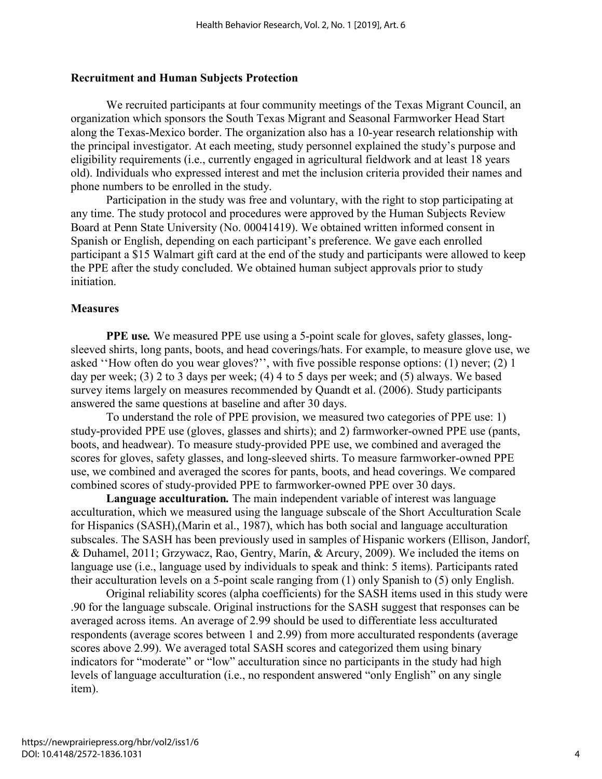#### **Recruitment and Human Subjects Protection**

We recruited participants at four community meetings of the Texas Migrant Council, an organization which sponsors the South Texas Migrant and Seasonal Farmworker Head Start along the Texas-Mexico border. The organization also has a 10-year research relationship with the principal investigator. At each meeting, study personnel explained the study's purpose and eligibility requirements (i.e., currently engaged in agricultural fieldwork and at least 18 years old). Individuals who expressed interest and met the inclusion criteria provided their names and phone numbers to be enrolled in the study.

Participation in the study was free and voluntary, with the right to stop participating at any time. The study protocol and procedures were approved by the Human Subjects Review Board at Penn State University (No. 00041419). We obtained written informed consent in Spanish or English, depending on each participant's preference. We gave each enrolled participant a \$15 Walmart gift card at the end of the study and participants were allowed to keep the PPE after the study concluded. We obtained human subject approvals prior to study initiation.

#### **Measures**

**PPE use***.* We measured PPE use using a 5-point scale for gloves, safety glasses, longsleeved shirts, long pants, boots, and head coverings/hats. For example, to measure glove use, we asked ''How often do you wear gloves?'', with five possible response options: (1) never; (2) 1 day per week; (3) 2 to 3 days per week; (4) 4 to 5 days per week; and (5) always. We based survey items largely on measures recommended by Quandt et al. (2006). Study participants answered the same questions at baseline and after 30 days.

To understand the role of PPE provision, we measured two categories of PPE use: 1) study-provided PPE use (gloves, glasses and shirts); and 2) farmworker-owned PPE use (pants, boots, and headwear). To measure study-provided PPE use, we combined and averaged the scores for gloves, safety glasses, and long-sleeved shirts. To measure farmworker-owned PPE use, we combined and averaged the scores for pants, boots, and head coverings. We compared combined scores of study-provided PPE to farmworker-owned PPE over 30 days.

**Language acculturation***.* The main independent variable of interest was language acculturation, which we measured using the language subscale of the Short Acculturation Scale for Hispanics (SASH),[\(Marin et al., 1987\)](#page-12-6), which has both social and language acculturation subscales. The SASH has been previously used in samples of Hispanic workers [\(Ellison, Jandorf,](#page-11-9)  [& Duhamel, 2011;](#page-11-9) [Grzywacz, Rao, Gentry, Marín, & Arcury, 2009\)](#page-12-7). We included the items on language use (i.e., language used by individuals to speak and think: 5 items). Participants rated their acculturation levels on a 5-point scale ranging from (1) only Spanish to (5) only English.

Original reliability scores (alpha coefficients) for the SASH items used in this study were .90 for the language subscale. Original instructions for the SASH suggest that responses can be averaged across items. An average of 2.99 should be used to differentiate less acculturated respondents (average scores between 1 and 2.99) from more acculturated respondents (average scores above 2.99). We averaged total SASH scores and categorized them using binary indicators for "moderate" or "low" acculturation since no participants in the study had high levels of language acculturation (i.e., no respondent answered "only English" on any single item).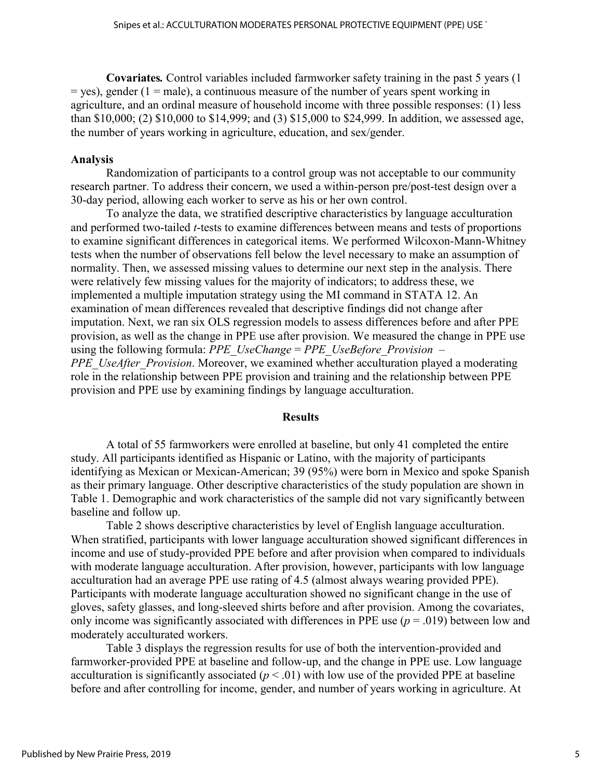**Covariates***.* Control variables included farmworker safety training in the past 5 years (1  $=$  yes), gender (1 = male), a continuous measure of the number of years spent working in agriculture, and an ordinal measure of household income with three possible responses: (1) less than \$10,000; (2) \$10,000 to \$14,999; and (3) \$15,000 to \$24,999. In addition, we assessed age, the number of years working in agriculture, education, and sex/gender.

#### **Analysis**

Randomization of participants to a control group was not acceptable to our community research partner. To address their concern, we used a within-person pre/post-test design over a 30-day period, allowing each worker to serve as his or her own control.

To analyze the data, we stratified descriptive characteristics by language acculturation and performed two-tailed *t*-tests to examine differences between means and tests of proportions to examine significant differences in categorical items. We performed Wilcoxon-Mann-Whitney tests when the number of observations fell below the level necessary to make an assumption of normality. Then, we assessed missing values to determine our next step in the analysis. There were relatively few missing values for the majority of indicators; to address these, we implemented a multiple imputation strategy using the MI command in STATA 12. An examination of mean differences revealed that descriptive findings did not change after imputation. Next, we ran six OLS regression models to assess differences before and after PPE provision, as well as the change in PPE use after provision. We measured the change in PPE use using the following formula: *PPE\_UseChange* = *PPE\_UseBefore\_Provision* – *PPE\_UseAfter\_Provision.* Moreover, we examined whether acculturation played a moderating role in the relationship between PPE provision and training and the relationship between PPE provision and PPE use by examining findings by language acculturation.

#### **Results**

A total of 55 farmworkers were enrolled at baseline, but only 41 completed the entire study. All participants identified as Hispanic or Latino, with the majority of participants identifying as Mexican or Mexican-American; 39 (95%) were born in Mexico and spoke Spanish as their primary language. Other descriptive characteristics of the study population are shown in Table 1. Demographic and work characteristics of the sample did not vary significantly between baseline and follow up.

Table 2 shows descriptive characteristics by level of English language acculturation. When stratified, participants with lower language acculturation showed significant differences in income and use of study-provided PPE before and after provision when compared to individuals with moderate language acculturation. After provision, however, participants with low language acculturation had an average PPE use rating of 4.5 (almost always wearing provided PPE). Participants with moderate language acculturation showed no significant change in the use of gloves, safety glasses, and long-sleeved shirts before and after provision. Among the covariates, only income was significantly associated with differences in PPE use  $(p = .019)$  between low and moderately acculturated workers.

Table 3 displays the regression results for use of both the intervention-provided and farmworker-provided PPE at baseline and follow-up, and the change in PPE use. Low language acculturation is significantly associated  $(p < .01)$  with low use of the provided PPE at baseline before and after controlling for income, gender, and number of years working in agriculture. At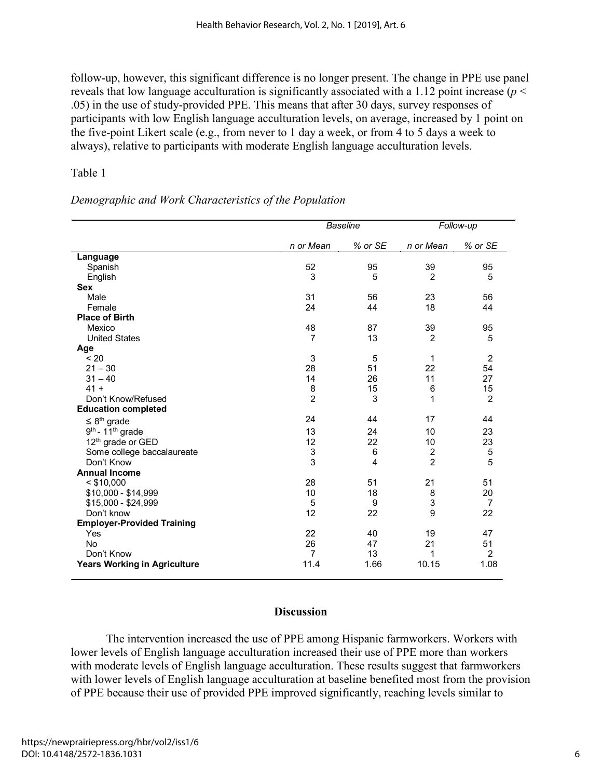follow-up, however, this significant difference is no longer present. The change in PPE use panel reveals that low language acculturation is significantly associated with a 1.12 point increase ( $p <$ .05) in the use of study-provided PPE. This means that after 30 days, survey responses of participants with low English language acculturation levels, on average, increased by 1 point on the five-point Likert scale (e.g., from never to 1 day a week, or from 4 to 5 days a week to always), relative to participants with moderate English language acculturation levels.

# Table 1

# *Demographic and Work Characteristics of the Population*

|                                     |                | <b>Baseline</b> | Follow-up      |                |  |
|-------------------------------------|----------------|-----------------|----------------|----------------|--|
|                                     | n or Mean      | % or SE         | n or Mean      | % or SE        |  |
| Language                            |                |                 |                |                |  |
| Spanish                             | 52             | 95              | 39             | 95             |  |
| English                             | 3              | 5               | $\overline{2}$ | 5              |  |
| <b>Sex</b>                          |                |                 |                |                |  |
| Male                                | 31             | 56              | 23             | 56             |  |
| Female                              | 24             | 44              | 18             | 44             |  |
| <b>Place of Birth</b>               |                |                 |                |                |  |
| Mexico                              | 48             | 87              | 39             | 95             |  |
| <b>United States</b>                | $\overline{7}$ | 13              | $\overline{2}$ | 5              |  |
| Age                                 |                |                 |                |                |  |
| < 20                                | 3              | 5               | 1              | $\overline{c}$ |  |
| $21 - 30$                           | 28             | 51              | 22             | 54             |  |
| $31 - 40$                           | 14             | 26              | 11             | 27             |  |
| $41 +$                              | 8              | 15              | 6              | 15             |  |
| Don't Know/Refused                  | $\overline{2}$ | 3               | 1              | $\overline{2}$ |  |
| <b>Education completed</b>          |                |                 |                |                |  |
| $\leq 8^{\text{th}}$ grade          | 24             | 44              | 17             | 44             |  |
| $9th$ - 11 <sup>th</sup> grade      | 13             | 24              | 10             | 23             |  |
| 12 <sup>th</sup> grade or GED       | 12             | 22              | 10             | 23             |  |
| Some college baccalaureate          | 3              | $\,6$           | $\overline{c}$ | 5              |  |
| Don't Know                          | 3              | $\overline{4}$  | $\overline{2}$ | 5              |  |
| <b>Annual Income</b>                |                |                 |                |                |  |
| $<$ \$10,000                        | 28             | 51              | 21             | 51             |  |
| $$10,000 - $14,999$                 | 10             | 18              | 8              | 20             |  |
| \$15,000 - \$24,999                 | 5              | 9               | 3              | $\overline{7}$ |  |
| Don't know                          | 12             | 22              | 9              | 22             |  |
| <b>Employer-Provided Training</b>   |                |                 |                |                |  |
| Yes                                 | 22             | 40              | 19             | 47             |  |
| <b>No</b>                           | 26             | 47              | 21             | 51             |  |
| Don't Know                          | $\overline{7}$ | 13              | 1              | $\overline{2}$ |  |
| <b>Years Working in Agriculture</b> | 11.4           | 1.66            | 10.15          | 1.08           |  |

# **Discussion**

The intervention increased the use of PPE among Hispanic farmworkers. Workers with lower levels of English language acculturation increased their use of PPE more than workers with moderate levels of English language acculturation. These results suggest that farmworkers with lower levels of English language acculturation at baseline benefited most from the provision of PPE because their use of provided PPE improved significantly, reaching levels similar to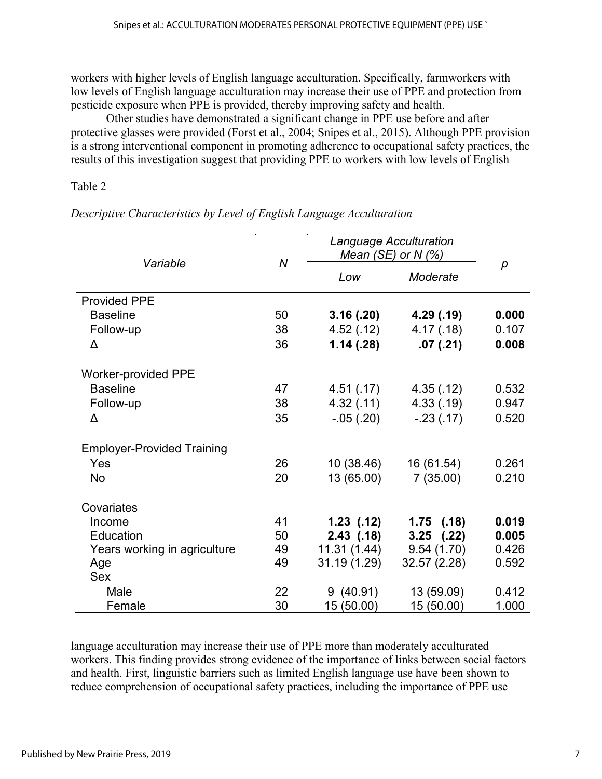workers with higher levels of English language acculturation. Specifically, farmworkers with low levels of English language acculturation may increase their use of PPE and protection from pesticide exposure when PPE is provided, thereby improving safety and health.

Other studies have demonstrated a significant change in PPE use before and after protective glasses were provided [\(Forst et al., 2004;](#page-12-8) [Snipes et al., 2015\)](#page-13-10). Although PPE provision is a strong interventional component in promoting adherence to occupational safety practices, the results of this investigation suggest that providing PPE to workers with low levels of English

# Table 2

| Variable                          | $\boldsymbol{N}$ | Language Acculturation<br>Mean (SE) or $N$ (%) |                |       |  |
|-----------------------------------|------------------|------------------------------------------------|----------------|-------|--|
|                                   |                  | Low                                            | Moderate       | p     |  |
| <b>Provided PPE</b>               |                  |                                                |                |       |  |
| <b>Baseline</b>                   | 50               | 3.16(0.20)                                     | 4.29 (.19)     | 0.000 |  |
| Follow-up                         | 38               | 4.52(.12)                                      | 4.17(0.18)     | 0.107 |  |
| Δ                                 | 36               | 1.14(0.28)                                     | .07(.21)       | 0.008 |  |
| <b>Worker-provided PPE</b>        |                  |                                                |                |       |  |
| <b>Baseline</b>                   | 47               | 4.51(.17)                                      | 4.35(.12)      | 0.532 |  |
| Follow-up                         | 38               | 4.32(.11)                                      | 4.33(.19)      | 0.947 |  |
| Δ                                 | 35               | $-0.05(0.20)$                                  | $-23(0.17)$    | 0.520 |  |
| <b>Employer-Provided Training</b> |                  |                                                |                |       |  |
| Yes                               | 26               | 10 (38.46)                                     | 16 (61.54)     | 0.261 |  |
| <b>No</b>                         | 20               | 13 (65.00)                                     | 7(35.00)       | 0.210 |  |
| Covariates                        |                  |                                                |                |       |  |
| Income                            | 41               | 1.23(12)                                       | $1.75$ $(.18)$ | 0.019 |  |
| Education                         | 50               | $2.43$ $(.18)$                                 | $3.25$ $(.22)$ | 0.005 |  |
| Years working in agriculture      | 49               | 11.31(1.44)                                    | 9.54(1.70)     | 0.426 |  |
| Age                               | 49               | 31.19 (1.29)                                   | 32.57 (2.28)   | 0.592 |  |
| <b>Sex</b>                        |                  |                                                |                |       |  |
| Male                              | 22               | 9(40.91)                                       | 13 (59.09)     | 0.412 |  |
| Female                            | 30               | 15 (50.00)                                     | 15 (50.00)     | 1.000 |  |

*Descriptive Characteristics by Level of English Language Acculturation* 

language acculturation may increase their use of PPE more than moderately acculturated workers. This finding provides strong evidence of the importance of links between social factors and health. First, linguistic barriers such as limited English language use have been shown to reduce comprehension of occupational safety practices, including the importance of PPE use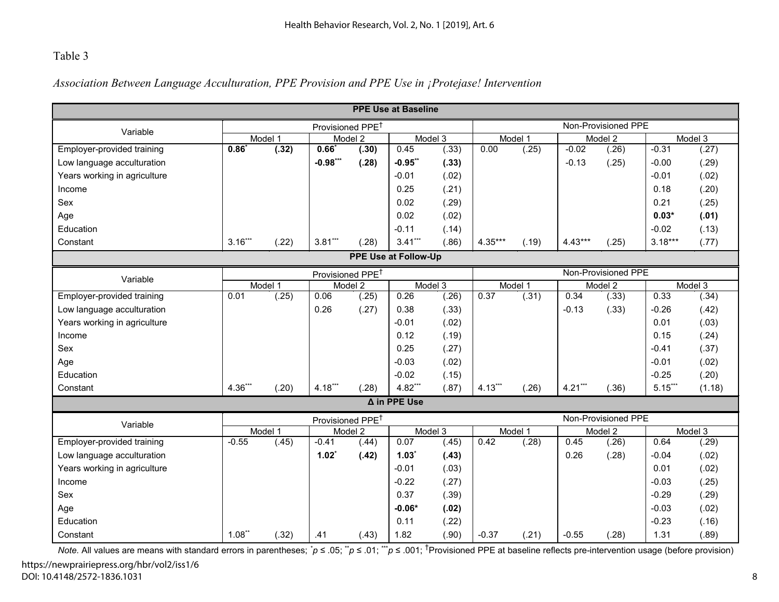# Table 3

# *Association Between Language Acculturation, PPE Provision and PPE Use in ¡Protejase! Intervention*

| <b>PPE Use at Baseline</b>   |                              |         |                    |         |                     |                     |                               |         |           |         |           |         |
|------------------------------|------------------------------|---------|--------------------|---------|---------------------|---------------------|-------------------------------|---------|-----------|---------|-----------|---------|
| Variable                     | Provisioned PPE <sup>†</sup> |         |                    |         | Non-Provisioned PPE |                     |                               |         |           |         |           |         |
|                              | Model 1                      |         | Model 3<br>Model 2 |         | Model 1             |                     | $\overline{\mathsf{Model}}$ 2 |         | Model 3   |         |           |         |
| Employer-provided training   | 0.86'                        | (.32)   | $0.66*$            | (.30)   | 0.45                | (0.33)              | 0.00                          | (.25)   | $-0.02$   | (.26)   | $-0.31$   | (.27)   |
| Low language acculturation   |                              |         | $-0.98***$         | (.28)   | $-0.95"$            | (.33)               |                               |         | $-0.13$   | (.25)   | $-0.00$   | (.29)   |
| Years working in agriculture |                              |         |                    |         | $-0.01$             | (.02)               |                               |         |           |         | $-0.01$   | (.02)   |
| Income                       |                              |         |                    |         | 0.25                | (.21)               |                               |         |           |         | 0.18      | (.20)   |
| Sex                          |                              |         |                    |         | 0.02                | (.29)               |                               |         |           |         | 0.21      | (.25)   |
| Age                          |                              |         |                    |         | 0.02                | (.02)               |                               |         |           |         | $0.03*$   | (.01)   |
| Education                    |                              |         |                    |         | $-0.11$             | (.14)               |                               |         |           |         | $-0.02$   | (.13)   |
| Constant                     | $3.16***$                    | (.22)   | $3.81***$          | (.28)   | $3.41***$           | (.86)               | $4.35***$                     | (.19)   | $4.43***$ | (.25)   | $3.18***$ | (.77)   |
| <b>PPE Use at Follow-Up</b>  |                              |         |                    |         |                     |                     |                               |         |           |         |           |         |
| Variable                     | Provisioned PPE <sup>+</sup> |         |                    |         | Non-Provisioned PPE |                     |                               |         |           |         |           |         |
|                              | Model 1<br>Model 2           |         |                    |         | Model 3             |                     | Model 1                       |         | Model 2   | Model 3 |           |         |
| Employer-provided training   | 0.01                         | (.25)   | 0.06               | (.25)   | 0.26                | (26)                | 0.37                          | (0.31)  | 0.34      | (0.33)  | 0.33      | (0.34)  |
| Low language acculturation   |                              |         | 0.26               | (.27)   | 0.38                | (.33)               |                               |         | $-0.13$   | (.33)   | $-0.26$   | (.42)   |
| Years working in agriculture |                              |         |                    |         | $-0.01$             | (.02)               |                               |         |           |         | 0.01      | (.03)   |
| Income                       |                              |         |                    |         | 0.12                | (.19)               |                               |         |           |         | 0.15      | (.24)   |
| Sex                          |                              |         |                    |         | 0.25                | (.27)               |                               |         |           |         | $-0.41$   | (.37)   |
| Age                          |                              |         |                    |         | $-0.03$             | (.02)               |                               |         |           |         | $-0.01$   | (.02)   |
| Education                    |                              |         |                    |         | $-0.02$             | (.15)               |                               |         |           |         | $-0.25$   | (.20)   |
| Constant                     | $4.36***$                    | (.20)   | $4.18***$          | (.28)   | 4.82***             | (.87)               | $4.13***$                     | (.26)   | $4.21***$ | (.36)   | $5.15***$ | (1.18)  |
| $\Delta$ in PPE Use          |                              |         |                    |         |                     |                     |                               |         |           |         |           |         |
| Variable                     | Provisioned PPE <sup>+</sup> |         |                    |         |                     | Non-Provisioned PPE |                               |         |           |         |           |         |
|                              |                              | Model 1 |                    | Model 2 |                     | Model 3             |                               | Model 1 |           | Model 2 |           | Model 3 |
| Employer-provided training   | $-0.55$                      | (.45)   | $-0.41$            | (.44)   | 0.07                | (.45)               | 0.42                          | (.28)   | 0.45      | (.26)   | 0.64      | (.29)   |
| Low language acculturation   |                              |         | $1.02^*$           | (.42)   | $1.03*$             | (.43)               |                               |         | 0.26      | (.28)   | $-0.04$   | (.02)   |
| Years working in agriculture |                              |         |                    |         | $-0.01$             | (.03)               |                               |         |           |         | 0.01      | (.02)   |
| Income                       |                              |         |                    |         | $-0.22$             | (.27)               |                               |         |           |         | $-0.03$   | (.25)   |
| Sex                          |                              |         |                    |         | 0.37                | (.39)               |                               |         |           |         | $-0.29$   | (.29)   |
| Age                          |                              |         |                    |         | $-0.06*$            | (.02)               |                               |         |           |         | $-0.03$   | (.02)   |
| Education                    |                              |         |                    |         | 0.11                | (.22)               |                               |         |           |         | $-0.23$   | (.16)   |
| Constant                     | $1.08$ **                    | (.32)   | .41                | (.43)   | 1.82                | (.90)               | $-0.37$                       | (.21)   | $-0.55$   | (.28)   | 1.31      | (.89)   |

*Note.* All values are means with standard errors in parentheses; \**p* ≤ .05; \**p* ≤ .01; \*\**p* ≤ .001; <sup>†</sup>Provisioned PPE at baseline reflects pre-intervention usage (before provision)

https://newprairiepress.org/hbr/vol2/iss1/6 DOI: 10.4148/2572-1836.1031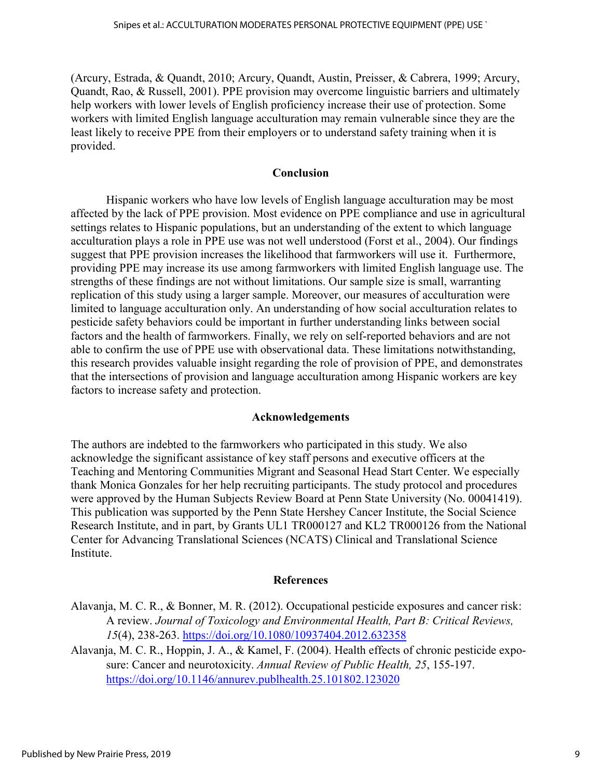(Arcury, Estrada, & Quandt, 2010; Arcury, Quandt, Austin, Preisser, & Cabrera, 1999; Arcury, Quandt, Rao, & Russell, 2001). PPE provision may overcome linguistic barriers and ultimately help workers with lower levels of English proficiency increase their use of protection. Some workers with limited English language acculturation may remain vulnerable since they are the least likely to receive PPE from their employers or to understand safety training when it is provided.

#### **Conclusion**

Hispanic workers who have low levels of English language acculturation may be most affected by the lack of PPE provision. Most evidence on PPE compliance and use in agricultural settings relates to Hispanic populations, but an understanding of the extent to which language acculturation plays a role in PPE use was not well understood [\(Forst et al., 2004\)](#page-12-8). Our findings suggest that PPE provision increases the likelihood that farmworkers will use it. Furthermore, providing PPE may increase its use among farmworkers with limited English language use. The strengths of these findings are not without limitations. Our sample size is small, warranting replication of this study using a larger sample. Moreover, our measures of acculturation were limited to language acculturation only. An understanding of how social acculturation relates to pesticide safety behaviors could be important in further understanding links between social factors and the health of farmworkers. Finally, we rely on self-reported behaviors and are not able to confirm the use of PPE use with observational data. These limitations notwithstanding, this research provides valuable insight regarding the role of provision of PPE, and demonstrates that the intersections of provision and language acculturation among Hispanic workers are key factors to increase safety and protection.

#### **Acknowledgements**

The authors are indebted to the farmworkers who participated in this study. We also acknowledge the significant assistance of key staff persons and executive officers at the Teaching and Mentoring Communities Migrant and Seasonal Head Start Center. We especially thank Monica Gonzales for her help recruiting participants. The study protocol and procedures were approved by the Human Subjects Review Board at Penn State University (No. 00041419). This publication was supported by the Penn State Hershey Cancer Institute, the Social Science Research Institute, and in part, by Grants UL1 TR000127 and KL2 TR000126 from the National Center for Advancing Translational Sciences (NCATS) Clinical and Translational Science Institute.

#### **References**

- Alavanja, M. C. R., & Bonner, M. R. (2012). Occupational pesticide exposures and cancer risk: A review. *Journal of Toxicology and Environmental Health, Part B: Critical Reviews, 15*(4), 238-263.<https://doi.org/10.1080/10937404.2012.632358>
- Alavanja, M. C. R., Hoppin, J. A., & Kamel, F. (2004). Health effects of chronic pesticide exposure: Cancer and neurotoxicity. *Annual Review of Public Health, 25*, 155-197. <https://doi.org/10.1146/annurev.publhealth.25.101802.123020>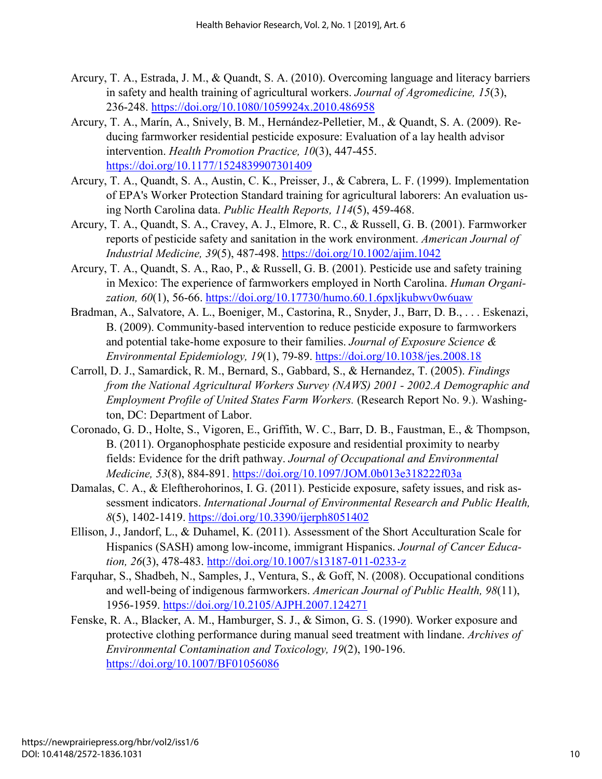- Arcury, T. A., Estrada, J. M., & Quandt, S. A. (2010). Overcoming language and literacy barriers in safety and health training of agricultural workers. *Journal of Agromedicine, 15*(3), 236-248.<https://doi.org/10.1080/1059924x.2010.486958>
- <span id="page-11-6"></span>Arcury, T. A., Marín, A., Snively, B. M., Hernández-Pelletier, M., & Quandt, S. A. (2009). Reducing farmworker residential pesticide exposure: Evaluation of a lay health advisor intervention. *Health Promotion Practice, 10*(3), 447-455. <https://doi.org/10.1177/1524839907301409>
- Arcury, T. A., Quandt, S. A., Austin, C. K., Preisser, J., & Cabrera, L. F. (1999). Implementation of EPA's Worker Protection Standard training for agricultural laborers: An evaluation using North Carolina data. *Public Health Reports, 114*(5), 459-468.
- <span id="page-11-5"></span>Arcury, T. A., Quandt, S. A., Cravey, A. J., Elmore, R. C., & Russell, G. B. (2001). Farmworker reports of pesticide safety and sanitation in the work environment. *American Journal of Industrial Medicine, 39*(5), 487-498.<https://doi.org/10.1002/ajim.1042>
- Arcury, T. A., Quandt, S. A., Rao, P., & Russell, G. B. (2001). Pesticide use and safety training in Mexico: The experience of farmworkers employed in North Carolina. *Human Organization, 60*(1), 56-66.<https://doi.org/10.17730/humo.60.1.6pxljkubwv0w6uaw>
- <span id="page-11-3"></span>Bradman, A., Salvatore, A. L., Boeniger, M., Castorina, R., Snyder, J., Barr, D. B., . . . Eskenazi, B. (2009). Community-based intervention to reduce pesticide exposure to farmworkers and potential take-home exposure to their families. *Journal of Exposure Science & Environmental Epidemiology, 19*(1), 79-89.<https://doi.org/10.1038/jes.2008.18>
- <span id="page-11-7"></span>Carroll, D. J., Samardick, R. M., Bernard, S., Gabbard, S., & Hernandez, T. (2005). *Findings from the National Agricultural Workers Survey (NAWS) 2001 - 2002.A Demographic and Employment Profile of United States Farm Workers.* (Research Report No. 9.). Washington, DC: Department of Labor.
- <span id="page-11-0"></span>Coronado, G. D., Holte, S., Vigoren, E., Griffith, W. C., Barr, D. B., Faustman, E., & Thompson, B. (2011). Organophosphate pesticide exposure and residential proximity to nearby fields: Evidence for the drift pathway. *Journal of Occupational and Environmental Medicine, 53*(8), 884-891.<https://doi.org/10.1097/JOM.0b013e318222f03a>
- <span id="page-11-1"></span>Damalas, C. A., & Eleftherohorinos, I. G. (2011). Pesticide exposure, safety issues, and risk assessment indicators. *International Journal of Environmental Research and Public Health, 8*(5), 1402-1419.<https://doi.org/10.3390/ijerph8051402>
- <span id="page-11-9"></span>Ellison, J., Jandorf, L., & Duhamel, K. (2011). Assessment of the Short Acculturation Scale for Hispanics (SASH) among low-income, immigrant Hispanics. *Journal of Cancer Education, 26*(3), 478-483.<http://doi.org/10.1007/s13187-011-0233-z>
- <span id="page-11-8"></span>Farquhar, S., Shadbeh, N., Samples, J., Ventura, S., & Goff, N. (2008). Occupational conditions and well-being of indigenous farmworkers. *American Journal of Public Health, 98*(11), 1956-1959.<https://doi.org/10.2105/AJPH.2007.124271>
- <span id="page-11-4"></span><span id="page-11-2"></span>Fenske, R. A., Blacker, A. M., Hamburger, S. J., & Simon, G. S. (1990). Worker exposure and protective clothing performance during manual seed treatment with lindane. *Archives of Environmental Contamination and Toxicology, 19*(2), 190-196. <https://doi.org/10.1007/BF01056086>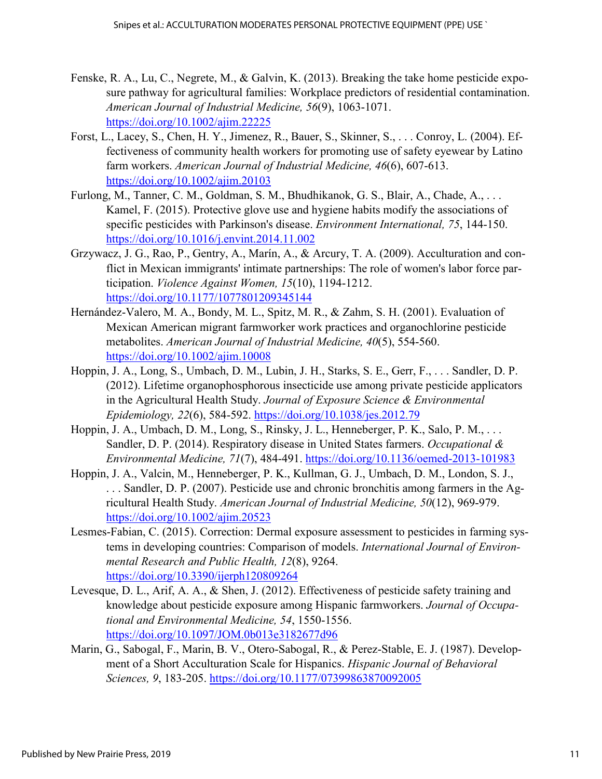- Fenske, R. A., Lu, C., Negrete, M., & Galvin, K. (2013). Breaking the take home pesticide exposure pathway for agricultural families: Workplace predictors of residential contamination. *American Journal of Industrial Medicine, 56*(9), 1063-1071. <https://doi.org/10.1002/ajim.22225>
- <span id="page-12-8"></span>Forst, L., Lacey, S., Chen, H. Y., Jimenez, R., Bauer, S., Skinner, S., . . . Conroy, L. (2004). Effectiveness of community health workers for promoting use of safety eyewear by Latino farm workers. *American Journal of Industrial Medicine, 46*(6), 607-613. <https://doi.org/10.1002/ajim.20103>
- <span id="page-12-5"></span>Furlong, M., Tanner, C. M., Goldman, S. M., Bhudhikanok, G. S., Blair, A., Chade, A., . . . Kamel, F. (2015). Protective glove use and hygiene habits modify the associations of specific pesticides with Parkinson's disease. *Environment International, 75*, 144-150. <https://doi.org/10.1016/j.envint.2014.11.002>
- <span id="page-12-7"></span>Grzywacz, J. G., Rao, P., Gentry, A., Marín, A., & Arcury, T. A. (2009). Acculturation and conflict in Mexican immigrants' intimate partnerships: The role of women's labor force participation. *Violence Against Women, 15*(10), 1194-1212. <https://doi.org/10.1177/1077801209345144>
- <span id="page-12-4"></span>Hernández-Valero, M. A., Bondy, M. L., Spitz, M. R., & Zahm, S. H. (2001). Evaluation of Mexican American migrant farmworker work practices and organochlorine pesticide metabolites. *American Journal of Industrial Medicine, 40*(5), 554-560. <https://doi.org/10.1002/ajim.10008>
- <span id="page-12-1"></span>Hoppin, J. A., Long, S., Umbach, D. M., Lubin, J. H., Starks, S. E., Gerr, F., . . . Sandler, D. P. (2012). Lifetime organophosphorous insecticide use among private pesticide applicators in the Agricultural Health Study. *Journal of Exposure Science & Environmental Epidemiology, 22*(6), 584-592.<https://doi.org/10.1038/jes.2012.79>
- <span id="page-12-2"></span>Hoppin, J. A., Umbach, D. M., Long, S., Rinsky, J. L., Henneberger, P. K., Salo, P. M., ... Sandler, D. P. (2014). Respiratory disease in United States farmers. *Occupational & Environmental Medicine, 71*(7), 484-491.<https://doi.org/10.1136/oemed-2013-101983>
- <span id="page-12-3"></span>Hoppin, J. A., Valcin, M., Henneberger, P. K., Kullman, G. J., Umbach, D. M., London, S. J., . . . Sandler, D. P. (2007). Pesticide use and chronic bronchitis among farmers in the Agricultural Health Study. *American Journal of Industrial Medicine, 50*(12), 969-979. <https://doi.org/10.1002/ajim.20523>
- <span id="page-12-0"></span>Lesmes-Fabian, C. (2015). Correction: Dermal exposure assessment to pesticides in farming systems in developing countries: Comparison of models. *International Journal of Environmental Research and Public Health, 12*(8), 9264. <https://doi.org/10.3390/ijerph120809264>
- Levesque, D. L., Arif, A. A., & Shen, J. (2012). Effectiveness of pesticide safety training and knowledge about pesticide exposure among Hispanic farmworkers. *Journal of Occupational and Environmental Medicine, 54*, 1550-1556. <https://doi.org/10.1097/JOM.0b013e3182677d96>
- <span id="page-12-6"></span>Marin, G., Sabogal, F., Marin, B. V., Otero-Sabogal, R., & Perez-Stable, E. J. (1987). Development of a Short Acculturation Scale for Hispanics. *Hispanic Journal of Behavioral Sciences, 9*, 183-205.<https://doi.org/10.1177/07399863870092005>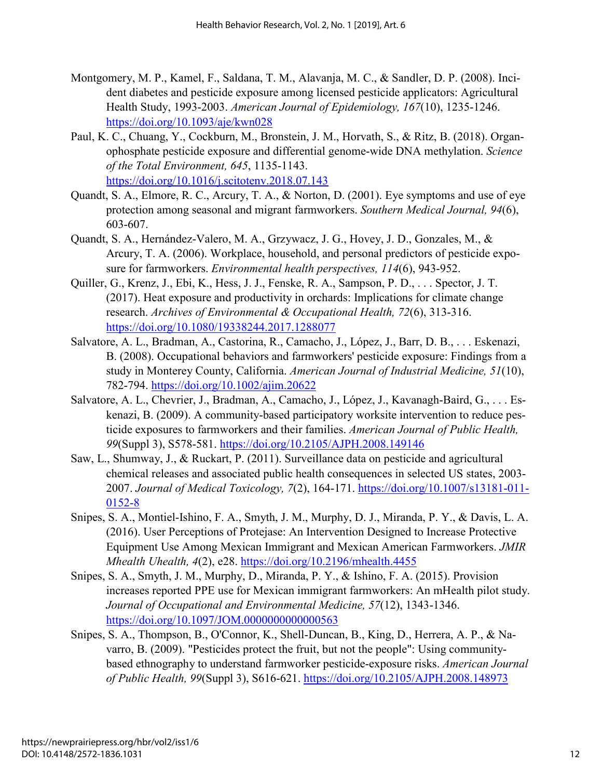- <span id="page-13-1"></span>Montgomery, M. P., Kamel, F., Saldana, T. M., Alavanja, M. C., & Sandler, D. P. (2008). Incident diabetes and pesticide exposure among licensed pesticide applicators: Agricultural Health Study, 1993-2003. *American Journal of Epidemiology, 167*(10), 1235-1246. <https://doi.org/10.1093/aje/kwn028>
- <span id="page-13-2"></span>Paul, K. C., Chuang, Y., Cockburn, M., Bronstein, J. M., Horvath, S., & Ritz, B. (2018). Organophosphate pesticide exposure and differential genome-wide DNA methylation. *Science of the Total Environment, 645*, 1135-1143. <https://doi.org/10.1016/j.scitotenv.2018.07.143>
- <span id="page-13-8"></span>Quandt, S. A., Elmore, R. C., Arcury, T. A., & Norton, D. (2001). Eye symptoms and use of eye protection among seasonal and migrant farmworkers. *Southern Medical Journal, 94*(6), 603-607.
- <span id="page-13-3"></span>Quandt, S. A., Hernández-Valero, M. A., Grzywacz, J. G., Hovey, J. D., Gonzales, M., & Arcury, T. A. (2006). Workplace, household, and personal predictors of pesticide exposure for farmworkers. *Environmental health perspectives, 114*(6), 943-952.
- <span id="page-13-7"></span>Quiller, G., Krenz, J., Ebi, K., Hess, J. J., Fenske, R. A., Sampson, P. D., . . . Spector, J. T. (2017). Heat exposure and productivity in orchards: Implications for climate change research. *Archives of Environmental & Occupational Health, 72*(6), 313-316. <https://doi.org/10.1080/19338244.2017.1288077>
- <span id="page-13-4"></span>Salvatore, A. L., Bradman, A., Castorina, R., Camacho, J., López, J., Barr, D. B., . . . Eskenazi, B. (2008). Occupational behaviors and farmworkers' pesticide exposure: Findings from a study in Monterey County, California. *American Journal of Industrial Medicine, 51*(10), 782-794.<https://doi.org/10.1002/ajim.20622>
- <span id="page-13-5"></span>Salvatore, A. L., Chevrier, J., Bradman, A., Camacho, J., López, J., Kavanagh-Baird, G., . . . Eskenazi, B. (2009). A community-based participatory worksite intervention to reduce pesticide exposures to farmworkers and their families. *American Journal of Public Health, 99*(Suppl 3), S578-581.<https://doi.org/10.2105/AJPH.2008.149146>
- <span id="page-13-0"></span>Saw, L., Shumway, J., & Ruckart, P. (2011). Surveillance data on pesticide and agricultural chemical releases and associated public health consequences in selected US states, 2003- 2007. *Journal of Medical Toxicology, 7*(2), 164-171. [https://doi.org/10.1007/s13181-011-](https://doi.org/10.1007/s13181-011-0152-8) [0152-8](https://doi.org/10.1007/s13181-011-0152-8)
- <span id="page-13-9"></span>Snipes, S. A., Montiel-Ishino, F. A., Smyth, J. M., Murphy, D. J., Miranda, P. Y., & Davis, L. A. (2016). User Perceptions of Protejase: An Intervention Designed to Increase Protective Equipment Use Among Mexican Immigrant and Mexican American Farmworkers. *JMIR Mhealth Uhealth, 4*(2), e28.<https://doi.org/10.2196/mhealth.4455>
- <span id="page-13-10"></span>Snipes, S. A., Smyth, J. M., Murphy, D., Miranda, P. Y., & Ishino, F. A. (2015). Provision increases reported PPE use for Mexican immigrant farmworkers: An mHealth pilot study. *Journal of Occupational and Environmental Medicine, 57*(12), 1343-1346. https://doi.org/10.1097/JOM.00000000000000563
- <span id="page-13-6"></span>Snipes, S. A., Thompson, B., O'Connor, K., Shell-Duncan, B., King, D., Herrera, A. P., & Navarro, B. (2009). "Pesticides protect the fruit, but not the people": Using communitybased ethnography to understand farmworker pesticide-exposure risks. *American Journal of Public Health, 99*(Suppl 3), S616-621.<https://doi.org/10.2105/AJPH.2008.148973>